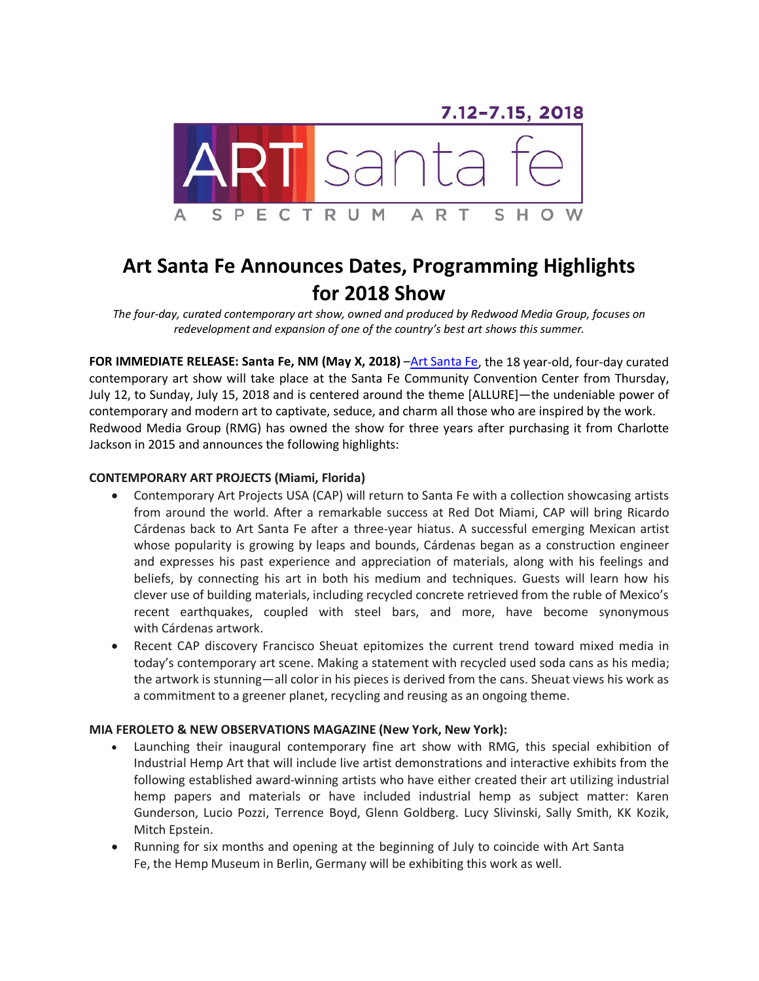

# **Art Santa Fe Announces Dates, Programming Highlights for 2018 Show**

*The four-day, curated contemporary art show, owned and produced by Redwood Media Group, focuses on redevelopment and expansion of one of the country's best art shows this summer.* 

**FOR IMMEDIATE RELEASE: Santa Fe, NM (May X, 2018)** [–Art Santa Fe,](http://www.artsantafe.com/) the 18 year-old, four-day curated contemporary art show will take place at the Santa Fe Community Convention Center from Thursday, July 12, to Sunday, July 15, 2018 and is centered around the theme [ALLURE]—the undeniable power of contemporary and modern art to captivate, seduce, and charm all those who are inspired by the work. Redwood Media Group (RMG) has owned the show for three years after purchasing it from Charlotte Jackson in 2015 and announces the following highlights:

## **CONTEMPORARY ART PROJECTS (Miami, Florida)**

- Contemporary Art Projects USA (CAP) will return to Santa Fe with a collection showcasing artists from around the world. After a remarkable success at Red Dot Miami, CAP will bring Ricardo Cárdenas back to Art Santa Fe after a three-year hiatus. A successful emerging Mexican artist whose popularity is growing by leaps and bounds, Cárdenas began as a construction engineer and expresses his past experience and appreciation of materials, along with his feelings and beliefs, by connecting his art in both his medium and techniques. Guests will learn how his clever use of building materials, including recycled concrete retrieved from the ruble of Mexico's recent earthquakes, coupled with steel bars, and more, have become synonymous with Cárdenas artwork.
- Recent CAP discovery Francisco Sheuat epitomizes the current trend toward mixed media in today's contemporary art scene. Making a statement with recycled used soda cans as his media; the artwork is stunning—all color in his pieces is derived from the cans. Sheuat views his work as a commitment to a greener planet, recycling and reusing as an ongoing theme.

### **MIA FEROLETO & NEW OBSERVATIONS MAGAZINE (New York, New York):**

- Launching their inaugural contemporary fine art show with RMG, this special exhibition of Industrial Hemp Art that will include live artist demonstrations and interactive exhibits from the following established award-winning artists who have either created their art utilizing industrial hemp papers and materials or have included industrial hemp as subject matter: Karen Gunderson, Lucio Pozzi, Terrence Boyd, Glenn Goldberg. Lucy Slivinski, Sally Smith, KK Kozik, Mitch Epstein.
- Running for six months and opening at the beginning of July to coincide with Art Santa Fe, the Hemp Museum in Berlin, Germany will be exhibiting this work as well.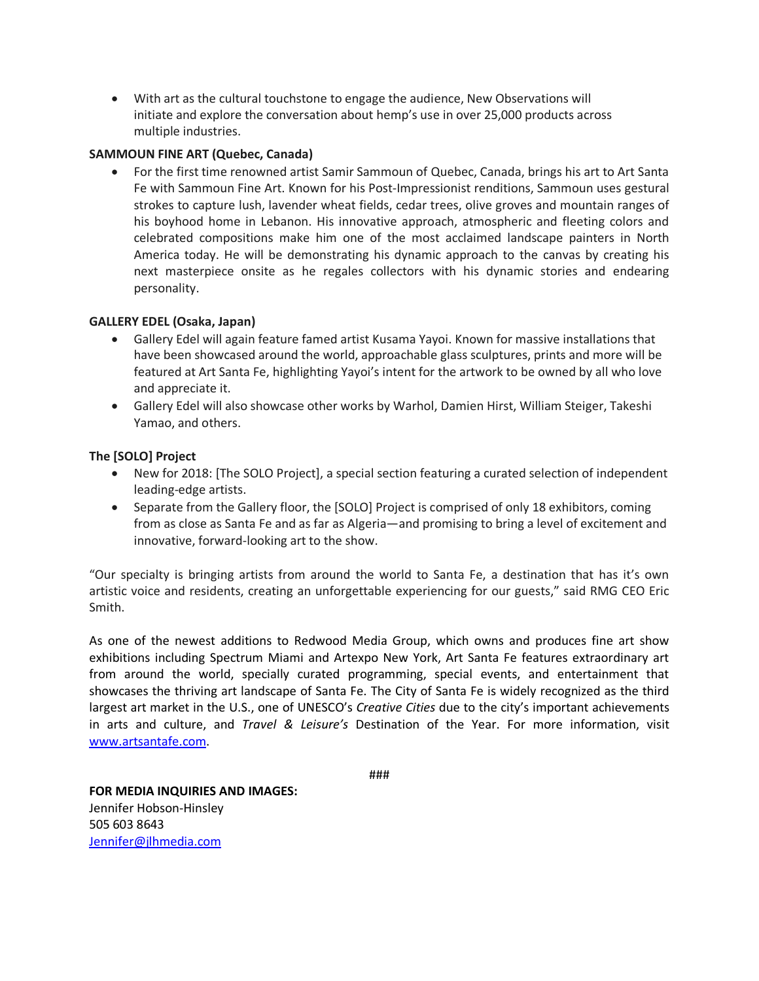• With art as the cultural touchstone to engage the audience, New Observations will initiate and explore the conversation about hemp's use in over 25,000 products across multiple industries.

## **SAMMOUN FINE ART (Quebec, Canada)**

• For the first time renowned artist Samir Sammoun of Quebec, Canada, brings his art to Art Santa Fe with Sammoun Fine Art. Known for his Post-Impressionist renditions, Sammoun uses gestural strokes to capture lush, lavender wheat fields, cedar trees, olive groves and mountain ranges of his boyhood home in Lebanon. His innovative approach, atmospheric and fleeting colors and celebrated compositions make him one of the most acclaimed landscape painters in North America today. He will be demonstrating his dynamic approach to the canvas by creating his next masterpiece onsite as he regales collectors with his dynamic stories and endearing personality.

# **GALLERY EDEL (Osaka, Japan)**

- Gallery Edel will again feature famed artist Kusama Yayoi. Known for massive installations that have been showcased around the world, approachable glass sculptures, prints and more will be featured at Art Santa Fe, highlighting Yayoi's intent for the artwork to be owned by all who love and appreciate it.
- Gallery Edel will also showcase other works by Warhol, Damien Hirst, William Steiger, Takeshi Yamao, and others.

# **The [SOLO] Project**

- New for 2018: [The SOLO Project], a special section featuring a curated selection of independent leading-edge artists.
- Separate from the Gallery floor, the [SOLO] Project is comprised of only 18 exhibitors, coming from as close as Santa Fe and as far as Algeria—and promising to bring a level of excitement and innovative, forward-looking art to the show.

"Our specialty is bringing artists from around the world to Santa Fe, a destination that has it's own artistic voice and residents, creating an unforgettable experiencing for our guests," said RMG CEO Eric Smith.

As one of the newest additions to Redwood Media Group, which owns and produces fine art show exhibitions including Spectrum Miami and Artexpo New York, Art Santa Fe features extraordinary art from around the world, specially curated programming, special events, and entertainment that showcases the thriving art landscape of Santa Fe. The City of Santa Fe is widely recognized as the third largest art market in the U.S., one of UNESCO's *Creative Cities* due to the city's important achievements in arts and culture, and *Travel & Leisure's* Destination of the Year. For more information, visit [www.artsantafe.com.](http://www.artsantafe.com/)

###

**FOR MEDIA INQUIRIES AND IMAGES:** Jennifer Hobson-Hinsley 505 603 8643 [Jennifer@jlhmedia.com](mailto:Jennifer@jlhmedia.com)